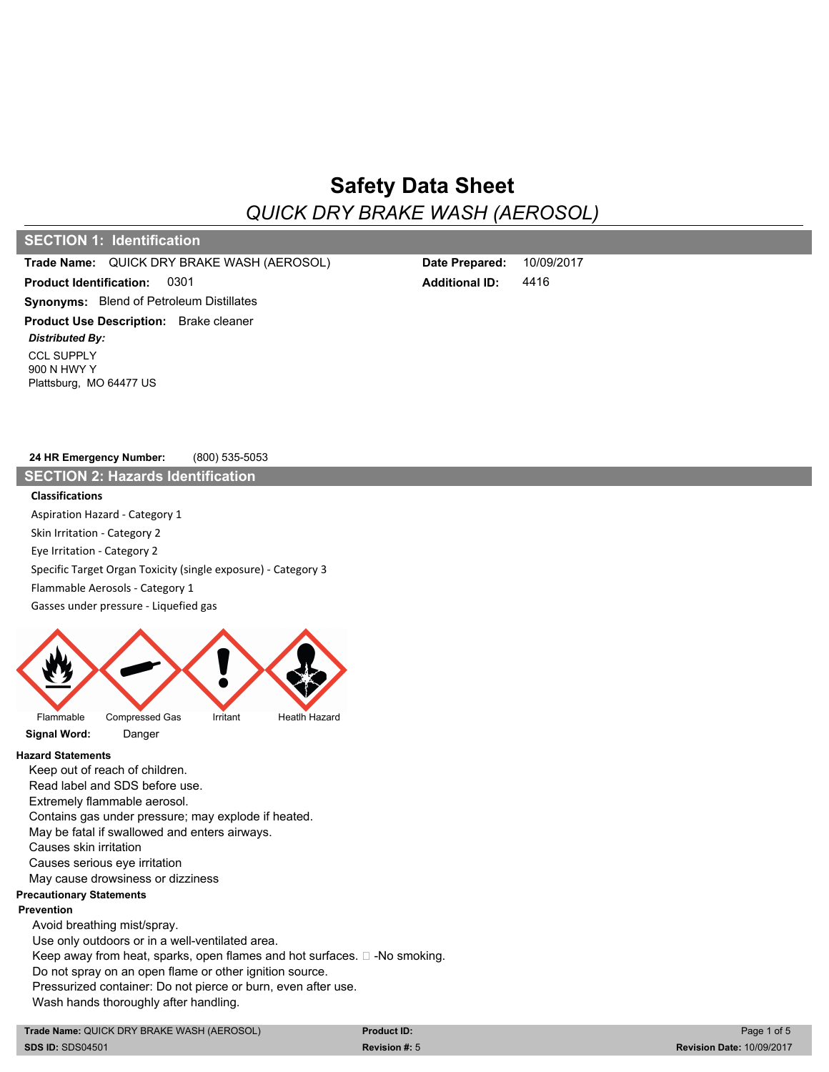# **Safety Data Sheet**

*QUICK DRY BRAKE WASH (AEROSOL)* 2.00

## **SECTION 1: Identification**

#### **Trade Name:** QUICK DRY BRAKE WASH (AEROSOL) **Date Prepared:**

**Product Identification: Synonyms:** Blend of Petroleum Distillates 0301 **Product Use Description:** Brake cleaner

CCL SUPPLY 900 N HWY Y Plattsburg, MO 64477 US *Distributed By:*

**Additional ID:** 4416 10/09/2017

**24 HR Emergency Number:** (800) 535-5053

**SECTION 2: Hazards Identification**

#### **Classifications**

Aspiration Hazard - Category 1 Skin Irritation - Category 2 Eye Irritation - Category 2 Specific Target Organ Toxicity (single exposure) - Category 3 Flammable Aerosols - Category 1 Gasses under pressure - Liquefied gas



#### **Hazard Statements**

Keep out of reach of children.

Read label and SDS before use. Extremely flammable aerosol. Contains gas under pressure; may explode if heated. May be fatal if swallowed and enters airways. Causes skin irritation Causes serious eye irritation May cause drowsiness or dizziness **Precautionary Statements Prevention** Avoid breathing mist/spray. Use only outdoors or in a well-ventilated area. Keep away from heat, sparks, open flames and hot surfaces.  $\square$  -No smoking. Do not spray on an open flame or other ignition source. Pressurized container: Do not pierce or burn, even after use. Wash hands thoroughly after handling.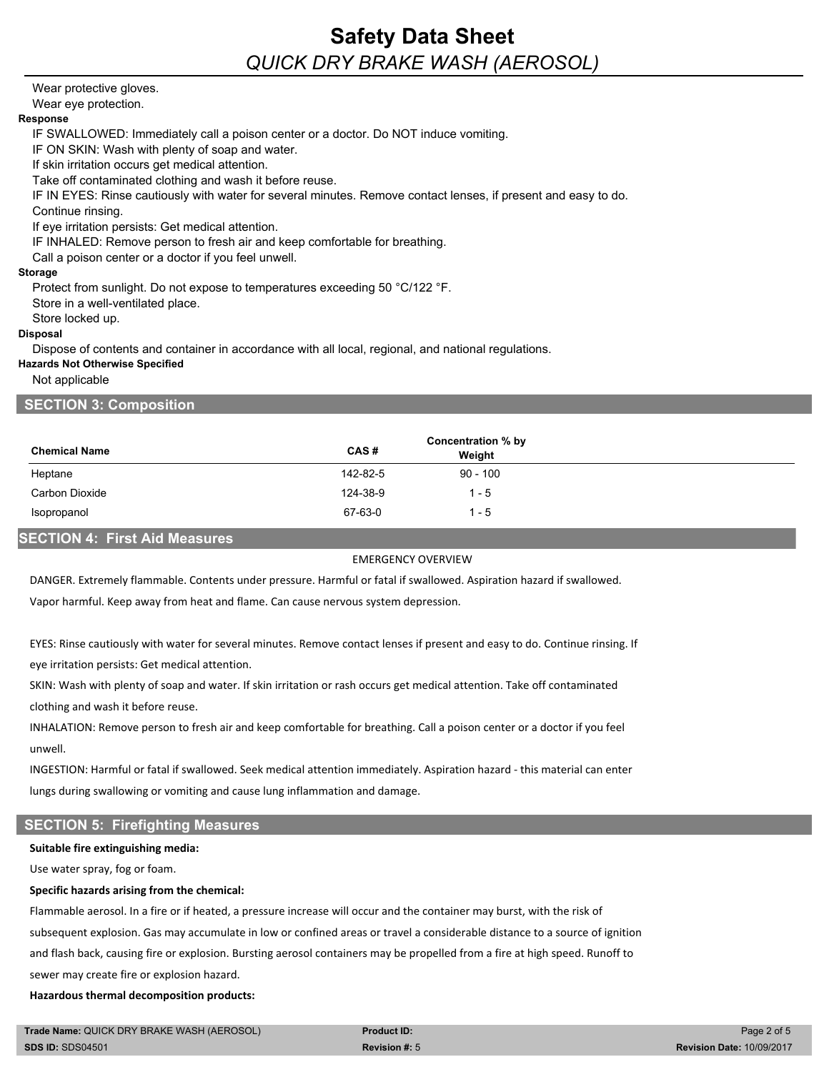## **Safety Data Sheet** *QUICK DRY BRAKE WASH (AEROSOL)* 2.00

### Wear protective gloves.

Wear eye protection.

#### **Response**

IF SWALLOWED: Immediately call a poison center or a doctor. Do NOT induce vomiting.

IF ON SKIN: Wash with plenty of soap and water.

If skin irritation occurs get medical attention.

Take off contaminated clothing and wash it before reuse.

IF IN EYES: Rinse cautiously with water for several minutes. Remove contact lenses, if present and easy to do.

Continue rinsing.

If eye irritation persists: Get medical attention.

IF INHALED: Remove person to fresh air and keep comfortable for breathing.

Call a poison center or a doctor if you feel unwell.

## **Storage**

Protect from sunlight. Do not expose to temperatures exceeding 50 °C/122 °F.

Store in a well-ventilated place.

Store locked up.

## **Disposal**

Dispose of contents and container in accordance with all local, regional, and national regulations.

#### **Hazards Not Otherwise Specified**

Not applicable

## **SECTION 3: Composition**

|                      | Concentration % by |            |
|----------------------|--------------------|------------|
| <b>Chemical Name</b> | CAS#               | Weight     |
| Heptane              | 142-82-5           | $90 - 100$ |
| Carbon Dioxide       | 124-38-9           | $1 - 5$    |
| Isopropanol          | 67-63-0            | 1 - 5      |
|                      |                    |            |

## **SECTION 4: First Aid Measures**

## EMERGENCY OVERVIEW

DANGER. Extremely flammable. Contents under pressure. Harmful or fatal if swallowed. Aspiration hazard if swallowed.

Vapor harmful. Keep away from heat and flame. Can cause nervous system depression.

EYES: Rinse cautiously with water for several minutes. Remove contact lenses if present and easy to do. Continue rinsing. If eye irritation persists: Get medical attention.

SKIN: Wash with plenty of soap and water. If skin irritation or rash occurs get medical attention. Take off contaminated clothing and wash it before reuse.

INHALATION: Remove person to fresh air and keep comfortable for breathing. Call a poison center or a doctor if you feel unwell.

INGESTION: Harmful or fatal if swallowed. Seek medical attention immediately. Aspiration hazard - this material can enter lungs during swallowing or vomiting and cause lung inflammation and damage.

## **SECTION 5: Firefighting Measures**

#### **Suitable fire extinguishing media:**

Use water spray, fog or foam.

### **Specific hazards arising from the chemical:**

Flammable aerosol. In a fire or if heated, a pressure increase will occur and the container may burst, with the risk of subsequent explosion. Gas may accumulate in low or confined areas or travel a considerable distance to a source of ignition and flash back, causing fire or explosion. Bursting aerosol containers may be propelled from a fire at high speed. Runoff to sewer may create fire or explosion hazard.

### **Hazardous thermal decomposition products:**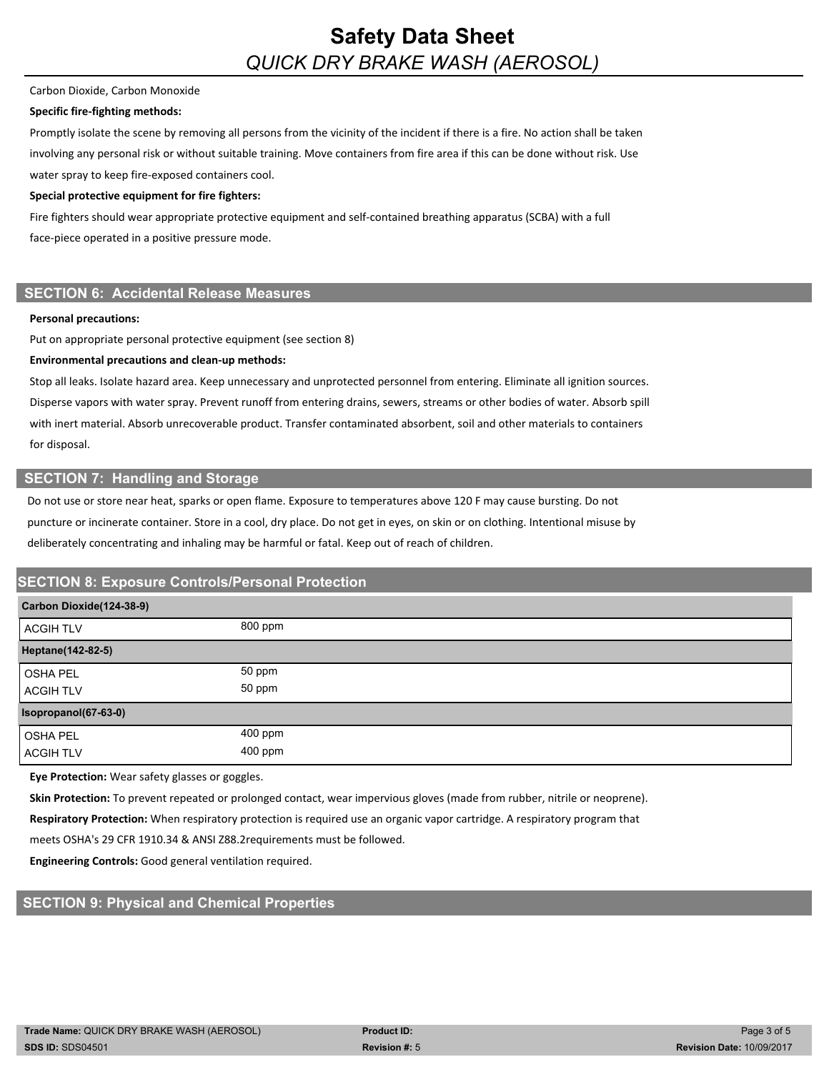#### Carbon Dioxide, Carbon Monoxide

### **Specific fire-fighting methods:**

Promptly isolate the scene by removing all persons from the vicinity of the incident if there is a fire. No action shall be taken involving any personal risk or without suitable training. Move containers from fire area if this can be done without risk. Use water spray to keep fire-exposed containers cool.

#### **Special protective equipment for fire fighters:**

Fire fighters should wear appropriate protective equipment and self-contained breathing apparatus (SCBA) with a full face-piece operated in a positive pressure mode.

## **SECTION 6: Accidental Release Measures**

#### **Personal precautions:**

Put on appropriate personal protective equipment (see section 8)

#### **Environmental precautions and clean-up methods:**

Stop all leaks. Isolate hazard area. Keep unnecessary and unprotected personnel from entering. Eliminate all ignition sources. Disperse vapors with water spray. Prevent runoff from entering drains, sewers, streams or other bodies of water. Absorb spill with inert material. Absorb unrecoverable product. Transfer contaminated absorbent, soil and other materials to containers for disposal.

## **SECTION 7: Handling and Storage**

Do not use or store near heat, sparks or open flame. Exposure to temperatures above 120 F may cause bursting. Do not puncture or incinerate container. Store in a cool, dry place. Do not get in eyes, on skin or on clothing. Intentional misuse by deliberately concentrating and inhaling may be harmful or fatal. Keep out of reach of children.

## **SECTION 8: Exposure Controls/Personal Protection**

| Carbon Dioxide(124-38-9) |         |
|--------------------------|---------|
| <b>ACGIH TLV</b>         | 800 ppm |
| Heptane(142-82-5)        |         |
| <b>OSHA PEL</b>          | 50 ppm  |
| <b>ACGIH TLV</b>         | 50 ppm  |
| Isopropanol(67-63-0)     |         |
| <b>OSHA PEL</b>          | 400 ppm |
| <b>ACGIH TLV</b>         | 400 ppm |

**Eye Protection:** Wear safety glasses or goggles.

**Skin Protection:** To prevent repeated or prolonged contact, wear impervious gloves (made from rubber, nitrile or neoprene).

**Respiratory Protection:** When respiratory protection is required use an organic vapor cartridge. A respiratory program that

meets OSHA's 29 CFR 1910.34 & ANSI Z88.2requirements must be followed.

**Engineering Controls:** Good general ventilation required.

## **SECTION 9: Physical and Chemical Properties**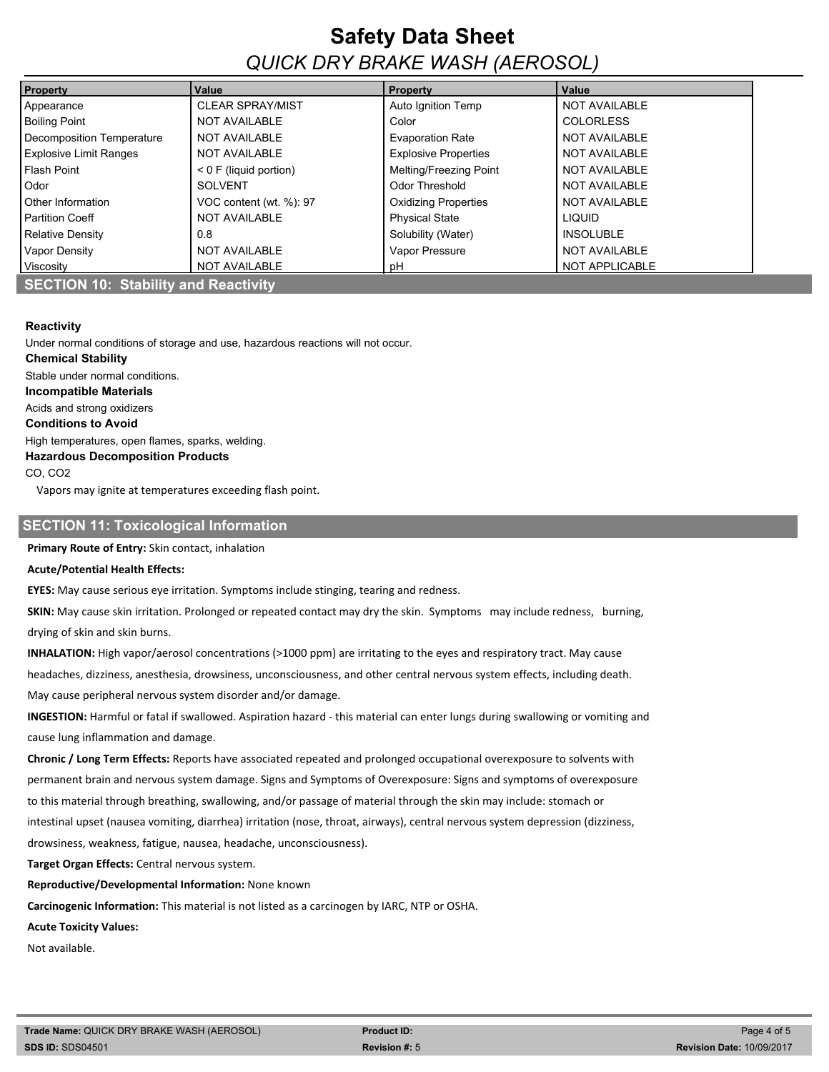# **Safety Data Sheet** *QUICK DRY BRAKE WASH (AEROSOL)* 2.00

| <b>Property</b>               | Value                    | <b>Property</b>             | Value                 |  |
|-------------------------------|--------------------------|-----------------------------|-----------------------|--|
| Appearance                    | <b>CLEAR SPRAY/MIST</b>  | Auto Ignition Temp          | <b>NOT AVAILABLE</b>  |  |
| <b>Boiling Point</b>          | <b>NOT AVAILABLE</b>     | Color                       | <b>COLORLESS</b>      |  |
| Decomposition Temperature     | NOT AVAILABLE            | <b>Evaporation Rate</b>     | <b>NOT AVAILABLE</b>  |  |
| <b>Explosive Limit Ranges</b> | <b>NOT AVAILABLE</b>     | <b>Explosive Properties</b> | <b>NOT AVAILABLE</b>  |  |
| Flash Point                   | $< 0$ F (liquid portion) | Melting/Freezing Point      | <b>NOT AVAILABLE</b>  |  |
| <b>Odor</b>                   | <b>SOLVENT</b>           | Odor Threshold              | <b>NOT AVAILABLE</b>  |  |
| <b>Other Information</b>      | VOC content (wt. %): 97  | <b>Oxidizing Properties</b> | <b>NOT AVAILABLE</b>  |  |
| <b>Partition Coeff</b>        | <b>NOT AVAILABLE</b>     | <b>Physical State</b>       | <b>LIQUID</b>         |  |
| Relative Density              | 0.8                      | Solubility (Water)          | <b>INSOLUBLE</b>      |  |
| <b>Vapor Density</b>          | <b>NOT AVAILABLE</b>     | Vapor Pressure              | <b>NOT AVAILABLE</b>  |  |
| Viscosity                     | <b>NOT AVAILABLE</b>     | рH                          | <b>NOT APPLICABLE</b> |  |

#### **Reactivity**

Under normal conditions of storage and use, hazardous reactions will not occur. **Chemical Stability**

Stable under normal conditions. **Incompatible Materials** Acids and strong oxidizers **Conditions to Avoid** High temperatures, open flames, sparks, welding. **Hazardous Decomposition Products** CO, CO2

Vapors may ignite at temperatures exceeding flash point.

#### **SECTION 11: Toxicological Information**

**Primary Route of Entry:** Skin contact, inhalation

#### **Acute/Potential Health Effects:**

**EYES:** May cause serious eye irritation. Symptoms include stinging, tearing and redness.

**SKIN:** May cause skin irritation. Prolonged or repeated contact may dry the skin. Symptoms may include redness, burning, drying of skin and skin burns.

**INHALATION:** High vapor/aerosol concentrations (>1000 ppm) are irritating to the eyes and respiratory tract. May cause

headaches, dizziness, anesthesia, drowsiness, unconsciousness, and other central nervous system effects, including death.

May cause peripheral nervous system disorder and/or damage.

**INGESTION:** Harmful or fatal if swallowed. Aspiration hazard - this material can enter lungs during swallowing or vomiting and cause lung inflammation and damage.

**Chronic / Long Term Effects:** Reports have associated repeated and prolonged occupational overexposure to solvents with permanent brain and nervous system damage. Signs and Symptoms of Overexposure: Signs and symptoms of overexposure to this material through breathing, swallowing, and/or passage of material through the skin may include: stomach or intestinal upset (nausea vomiting, diarrhea) irritation (nose, throat, airways), central nervous system depression (dizziness,

drowsiness, weakness, fatigue, nausea, headache, unconsciousness).

**Target Organ Effects:** Central nervous system.

**Reproductive/Developmental Information:** None known

**Carcinogenic Information:** This material is not listed as a carcinogen by IARC, NTP or OSHA.

**Acute Toxicity Values:**

Not available.